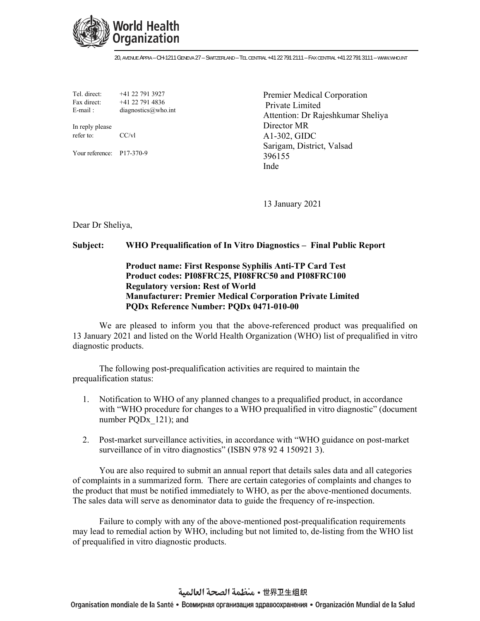

20, AVENUE APPIA – CH-1211 GENEVA 27 – SWITZERLAND – TEL CENTRAL +41 22 791 2111 – FAX CENTRAL +41 22 791 3111 – WWW.WHO.INT

Tel. direct: +41 22 791 3927 Fax direct:  $+41$  22 791 4836 E-mail : diagnostics  $@$  who.int

In reply please refer to: CC/vl

Your reference: P17-370-9

Premier Medical Corporation Private Limited Attention: Dr Rajeshkumar Sheliya Director MR A1-302, GIDC Sarigam, District, Valsad 396155 Inde

13 January 2021

Dear Dr Sheliya,

## **Subject: WHO Prequalification of In Vitro Diagnostics – Final Public Report**

## **Product name: First Response Syphilis Anti-TP Card Test Product codes: PI08FRC25, PI08FRC50 and PI08FRC100 Regulatory version: Rest of World Manufacturer: Premier Medical Corporation Private Limited PQDx Reference Number: PQDx 0471-010-00**

We are pleased to inform you that the above-referenced product was prequalified on 13 January 2021 and listed on the World Health Organization (WHO) list of prequalified in vitro diagnostic products.

The following post-prequalification activities are required to maintain the prequalification status:

- 1. Notification to WHO of any planned changes to a prequalified product, in accordance with "WHO procedure for changes to a WHO prequalified in vitro diagnostic" (document number PQDx\_121); and
- 2. Post-market surveillance activities, in accordance with "WHO guidance on post-market surveillance of in vitro diagnostics" (ISBN 978 92 4 150921 3).

You are also required to submit an annual report that details sales data and all categories of complaints in a summarized form. There are certain categories of complaints and changes to the product that must be notified immediately to WHO, as per the above-mentioned documents. The sales data will serve as denominator data to guide the frequency of re-inspection.

Failure to comply with any of the above-mentioned post-prequalification requirements may lead to remedial action by WHO, including but not limited to, de-listing from the WHO list of prequalified in vitro diagnostic products.

世界卫生组织 • منظمة الصحة العالمية